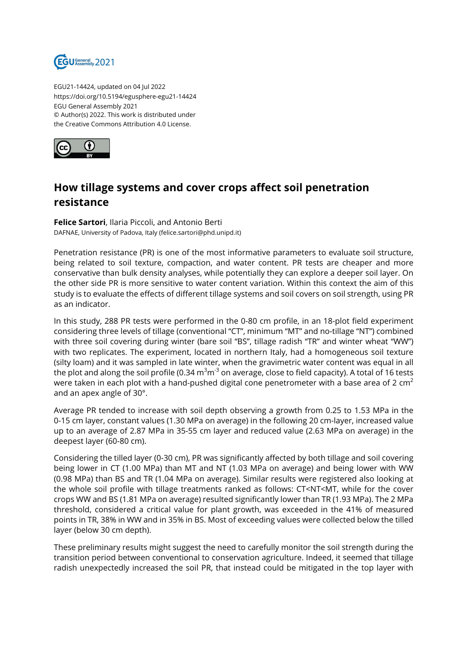

EGU21-14424, updated on 04 Jul 2022 https://doi.org/10.5194/egusphere-egu21-14424 EGU General Assembly 2021 © Author(s) 2022. This work is distributed under the Creative Commons Attribution 4.0 License.



## **How tillage systems and cover crops affect soil penetration resistance**

**Felice Sartori**, Ilaria Piccoli, and Antonio Berti DAFNAE, University of Padova, Italy (felice.sartori@phd.unipd.it)

Penetration resistance (PR) is one of the most informative parameters to evaluate soil structure, being related to soil texture, compaction, and water content. PR tests are cheaper and more conservative than bulk density analyses, while potentially they can explore a deeper soil layer. On the other side PR is more sensitive to water content variation. Within this context the aim of this study is to evaluate the effects of different tillage systems and soil covers on soil strength, using PR as an indicator.

In this study, 288 PR tests were performed in the 0-80 cm profile, in an 18-plot field experiment considering three levels of tillage (conventional "CT", minimum "MT" and no-tillage "NT") combined with three soil covering during winter (bare soil "BS", tillage radish "TR" and winter wheat "WW") with two replicates. The experiment, located in northern Italy, had a homogeneous soil texture (silty loam) and it was sampled in late winter, when the gravimetric water content was equal in all the plot and along the soil profile (0.34  $\text{m}^{3}\text{m}^{3}$  on average, close to field capacity). A total of 16 tests were taken in each plot with a hand-pushed digital cone penetrometer with a base area of 2  $\text{cm}^2$ and an apex angle of 30°.

Average PR tended to increase with soil depth observing a growth from 0.25 to 1.53 MPa in the 0-15 cm layer, constant values (1.30 MPa on average) in the following 20 cm-layer, increased value up to an average of 2.87 MPa in 35-55 cm layer and reduced value (2.63 MPa on average) in the deepest layer (60-80 cm).

Considering the tilled layer (0-30 cm), PR was significantly affected by both tillage and soil covering being lower in CT (1.00 MPa) than MT and NT (1.03 MPa on average) and being lower with WW (0.98 MPa) than BS and TR (1.04 MPa on average). Similar results were registered also looking at the whole soil profile with tillage treatments ranked as follows: CT<NT<MT, while for the cover crops WW and BS (1.81 MPa on average) resulted significantly lower than TR (1.93 MPa). The 2 MPa threshold, considered a critical value for plant growth, was exceeded in the 41% of measured points in TR, 38% in WW and in 35% in BS. Most of exceeding values were collected below the tilled layer (below 30 cm depth).

These preliminary results might suggest the need to carefully monitor the soil strength during the transition period between conventional to conservation agriculture. Indeed, it seemed that tillage radish unexpectedly increased the soil PR, that instead could be mitigated in the top layer with